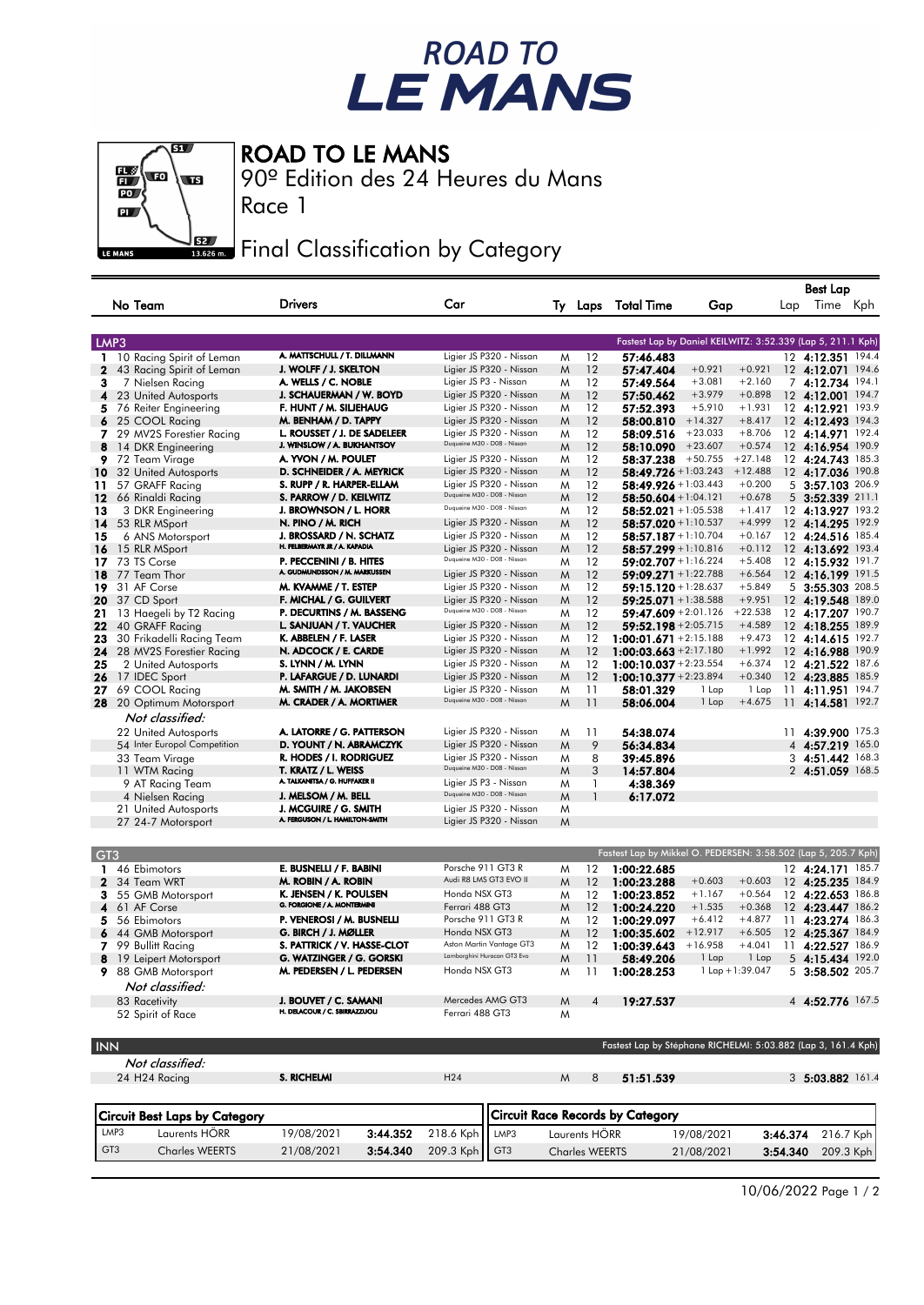## ROAD TO<br>LE MANS

 $\overline{\mathbf{S}}$  $\mathbf{u}$ w.  $\overline{\mathbf{u}}$  $\overline{PQ}$  $\overline{\mathbf{a}}$ LE MANS

ROAD TO LE MANS

Race 1

GT3 Charles WEERTS 21/08/2021 **3:54.340** 209.3 Kph  $\left|\right|$  GT3

90º Edition des 24 Heures du Mans

**Fig. 3** Final Classification by Category

|                                                               |                                               |                                                        |   |               |                                                                |                                                             |           |     | Best Lap             |     |
|---------------------------------------------------------------|-----------------------------------------------|--------------------------------------------------------|---|---------------|----------------------------------------------------------------|-------------------------------------------------------------|-----------|-----|----------------------|-----|
| No Team                                                       | <b>Drivers</b>                                | Car                                                    |   |               | Ty Laps Total Time                                             | Gap                                                         |           | Lap | Time                 | Kph |
|                                                               |                                               |                                                        |   |               |                                                                | Fastest Lap by Daniel KEILWITZ: 3:52.339 (Lap 5, 211.1 Kph) |           |     |                      |     |
| LMP3                                                          |                                               |                                                        |   |               |                                                                |                                                             |           |     |                      |     |
| 10 Racing Spirit of Leman<br>1.                               | A. MATTSCHULL / T. DILLMANN                   | Ligier JS P320 - Nissan                                | M | 12            | 57:46.483                                                      |                                                             |           |     | 12 4:12.351 194.4    |     |
| 2<br>43 Racing Spirit of Leman                                | J. WOLFF / J. SKELTON                         | Ligier JS P320 - Nissan                                | M | 12            | 57:47.404                                                      | $+0.921$                                                    | $+0.921$  |     | 12 4:12.071 194.6    |     |
| 3<br>7 Nielsen Racing                                         | A. WELLS / C. NOBLE                           | Ligier JS P3 - Nissan                                  | M | 12            | 57:49.564                                                      | $+3.081$                                                    | $+2.160$  |     | 7 4:12.734 194.1     |     |
| 4<br>23 United Autosports                                     | J. SCHAUERMAN / W. BOYD                       | Ligier JS P320 - Nissan                                | M | 12            | 57:50.462                                                      | $+3.979$                                                    | $+0.898$  |     | 12 4:12.001 194.7    |     |
| 5.<br>76 Reiter Engineering                                   | F. HUNT / M. SILJEHAUG                        | Ligier JS P320 - Nissan                                | M | 12            | 57:52.393                                                      | $+5.910$                                                    | $+1.931$  |     | 12 4:12.921 193.9    |     |
| 6<br>25 COOL Racing                                           | M. BENHAM / D. TAPPY                          | Ligier JS P320 - Nissan                                | M | 12            | 58:00.810                                                      | $+14.327$                                                   | $+8.417$  |     | 12 4:12.493 194.3    |     |
| 29 MV2S Forestier Racing<br>7                                 | L. ROUSSET / J. DE SADELEER                   | Ligier JS P320 - Nissan<br>Duqueine M30 - D08 - Nissan | M | 12            | 58:09.516                                                      | $+23.033$                                                   | $+8.706$  |     | 12 4:14.971 192.4    |     |
| 8<br>14 DKR Engineering                                       | J. WINSLOW / A. BUKHANTSOV                    |                                                        | M | 12            | 58:10.090                                                      | $+23.607$                                                   | $+0.574$  |     | 12 4:16.954 190.9    |     |
| 9<br>72 Team Virage                                           | A. YVON / M. POULET                           | Ligier JS P320 - Nissan                                | M | 12            | 58:37.238                                                      | $+50.755$                                                   | $+27.148$ |     | 12 4:24.743 185.3    |     |
| 32 United Autosports<br>10                                    | D. SCHNEIDER / A. MEYRICK                     | Ligier JS P320 - Nissan                                | M | 12            | 58:49.726 + 1:03.243                                           |                                                             | $+12.488$ |     | 12 4:17.036 190.8    |     |
| 57 GRAFF Racing<br>11                                         | S. RUPP / R. HARPER-ELLAM                     | Ligier JS P320 - Nissan                                | M | 12            | <b>58:49.926</b> + 1:03.443                                    |                                                             | $+0.200$  |     | 5 3:57.103 206.9     |     |
| 12<br>66 Rinaldi Racing                                       | S. PARROW / D. KEILWITZ                       | Duqueine M30 - D08 - Nissan                            | M | 12            | $58:50.604 + 1:04.121$                                         |                                                             | $+0.678$  |     | 5 3:52.339 211.1     |     |
| 13<br>3 DKR Engineering                                       | J. BROWNSON / L. HORR                         | Duqueine M30 - D08 - Nissan                            | M | 12            | $58:52.021 + 1:05.538$                                         |                                                             | $+1.417$  |     | 12 4:13.927 193.2    |     |
| 14<br>53 RLR MSport                                           | N. PINO / M. RICH                             | Ligier JS P320 - Nissan                                | M | 12            | <b>58:57.020</b> + 1:10.537                                    |                                                             | $+4.999$  |     | 12 4:14.295 192.9    |     |
| 15<br>6 ANS Motorsport                                        | J. BROSSARD / N. SCHATZ                       | Ligier JS P320 - Nissan                                | M | 12            | 58:57.187 +1:10.704                                            |                                                             | $+0.167$  |     | 12 4:24.516 185.4    |     |
| 15 RLR MSport<br>16                                           | H. FELBERMAYR JR / A. KAPADIA                 | Ligier JS P320 - Nissan                                | M | 12            | $58:57.299 + 1:10.816$                                         |                                                             | $+0.112$  |     | 12 4:13.692 193.4    |     |
| 73 TS Corse<br>17                                             | P. PECCENINI / B. HITES                       | Duqueine M30 - D08 - Nissan                            | M | 12            | <b>59:02.707</b> + 1:16.224                                    |                                                             | $+5.408$  |     | 12 4:15.932 191.7    |     |
| 18<br>77 Team Thor                                            | A. GUDMUNDSSON / M. MARKUSSEN                 | Ligier JS P320 - Nissan                                | M | 12            | <b>59:09.271</b> +1:22.788                                     |                                                             | $+6.564$  |     | 12 4:16.199 191.5    |     |
| 19<br>31 AF Corse                                             | M. KVAMME / T. ESTEP                          | Ligier JS P320 - Nissan                                | M | 12            | <b>59:15.120</b> + 1:28.637                                    |                                                             | $+5.849$  |     | 5 3:55.303 208.5     |     |
| 20                                                            | F. MICHAL / G. GUILVERT                       | Ligier JS P320 - Nissan                                | M | 12            | $59:25.071 + 1:38.588$                                         |                                                             | $+9.951$  |     | 12 4:19.548 189.0    |     |
| 37 CD Sport                                                   | P. DECURTINS / M. BASSENG                     | Duqueine M30 - D08 - Nissan                            |   | 12            |                                                                |                                                             | $+22.538$ |     |                      |     |
| 21<br>13 Haegeli by T2 Racing                                 |                                               |                                                        | M |               | <b>59:47.609</b> +2:01.126                                     |                                                             | $+4.589$  |     | 12 4:17.207 190.7    |     |
| 22<br>40 GRAFF Racing                                         | L. SANJUAN / T. VAUCHER                       | Ligier JS P320 - Nissan                                | M | 12            | <b>59:52.198</b> +2:05.715                                     |                                                             |           |     | 12 4:18.255 189.9    |     |
| 23<br>30 Frikadelli Racing Team                               | K. ABBELEN / F. LASER                         | Ligier JS P320 - Nissan                                | M | 12            | $1:00:01.671 + 2:15.188$                                       |                                                             | $+9.473$  |     | 12 4:14.615 192.7    |     |
| 24<br>28 MV2S Forestier Racing                                | N. ADCOCK / E. CARDE                          | Ligier JS P320 - Nissan                                | M | 12            | 1:00:03.663 + 2:17.180                                         |                                                             | $+1.992$  |     | 12 4:16.988 190.9    |     |
| 25<br>2 United Autosports                                     | S. LYNN / M. LYNN                             | Ligier JS P320 - Nissan                                | M | 12            | 1:00:10.037 + 2:23.554                                         |                                                             | $+6.374$  |     | 12 4:21.522 187.6    |     |
| 17 IDEC Sport<br>26                                           | P. LAFARGUE / D. LUNARDI                      | Ligier JS P320 - Nissan                                | M | 12            | $1:00:10.377 + 2:23.894$                                       |                                                             | $+0.340$  |     | 12 4:23.885 185.9    |     |
| 27<br>69 COOL Racing                                          | M. SMITH / M. JAKOBSEN                        | Ligier JS P320 - Nissan                                | M | 11            | 58:01.329                                                      | 1 Lap                                                       | 1 Lap     |     | 11 4:11.951 194.7    |     |
| 28 20 Optimum Motorsport                                      | M. CRADER / A. MORTIMER                       | Duqueine M30 - D08 - Nissan                            | M | 11            | 58:06.004                                                      | 1 Lap                                                       | $+4.675$  | 11  | 4:14.581 192.7       |     |
| Not classified:                                               |                                               |                                                        |   |               |                                                                |                                                             |           |     |                      |     |
| 22 United Autosports                                          | A. LATORRE / G. PATTERSON                     | Ligier JS P320 - Nissan                                | M | 11            | 54:38.074                                                      |                                                             |           |     | 11 4:39.900 175.3    |     |
|                                                               | D. YOUNT / N. ABRAMCZYK                       | Ligier JS P320 - Nissan                                |   | 9             |                                                                |                                                             |           |     |                      |     |
| 54 Inter Europol Competition                                  |                                               |                                                        | M |               | 56:34.834                                                      |                                                             |           |     | 4 4:57.219 165.0     |     |
| 33 Team Virage                                                | R. HODES / I. RODRIGUEZ                       | Ligier JS P320 - Nissan<br>Duqueine M30 - D08 - Nissan | M | 8             | 39:45.896                                                      |                                                             |           |     | 3 4:51.442 168.3     |     |
| 11 WTM Racing                                                 | T. KRATZ / L. WEISS                           |                                                        | M | 3             | 14:57.804                                                      |                                                             |           |     | 2 4:51.059 168.5     |     |
| 9 AT Racing Team                                              | A. TALKANITSA / G. HUFFAKER II                | Ligier JS P3 - Nissan                                  | M | 1             | 4:38.369                                                       |                                                             |           |     |                      |     |
| 4 Nielsen Racing                                              | J. MELSOM / M. BELL                           | Duqueine M30 - D08 - Nissan                            | M | $\mathbf{1}$  | 6:17.072                                                       |                                                             |           |     |                      |     |
| 21 United Autosports                                          | J. MCGUIRE / G. SMITH                         | Ligier JS P320 - Nissan                                | M |               |                                                                |                                                             |           |     |                      |     |
| 27 24-7 Motorsport                                            | A. FERGUSON / L. HAMILTON-SMITH               | Ligier JS P320 - Nissan                                | M |               |                                                                |                                                             |           |     |                      |     |
| GT <sub>3</sub>                                               |                                               |                                                        |   |               | Fastest Lap by Mikkel O. PEDERSEN: 3:58.502 (Lap 5, 205.7 Kph) |                                                             |           |     |                      |     |
| 46 Ebimotors<br>1                                             | E. BUSNELLI / F. BABINI                       | Porsche 911 GT3 R                                      | M | 12            | 1:00:22.685                                                    |                                                             |           |     | 12 4:24.171 185.7    |     |
|                                                               |                                               | Audi R8 LMS GT3 EVO II                                 |   |               |                                                                | $+0.603$                                                    | $+0.603$  |     |                      |     |
| $\mathbf{z}$<br>34 Team WRT                                   | M. ROBIN / A. ROBIN<br>K. JENSEN / K. POULSEN |                                                        | M | 12            | 1:00:23.288                                                    |                                                             |           |     | 12 4:25.235 184.9    |     |
| 3<br>55 GMB Motorsport                                        | G. FORGIONE / A. MONTERMINI                   | Honda NSX GT3                                          | M | 12            | 1:00:23.852                                                    | $+1.167$                                                    | $+0.564$  |     | 12 4:22.653 186.8    |     |
| 4<br>61 AF Corse                                              |                                               | Ferrari 488 GT3                                        | M | 12            | 1:00:24.220                                                    | $+1.535$                                                    | $+0.368$  |     | 12 4:23.447 186.2    |     |
| 5.<br>56 Ebimotors                                            | P. VENEROSI / M. BUSNELLI                     | Porsche 911 GT3 R                                      | M | 12            | 1:00:29.097                                                    | $+6.412$                                                    | $+4.877$  |     | 11 4:23.274 186.3    |     |
| 6<br>44 GMB Motorsport                                        | G. BIRCH / J. MØLLER                          | Honda NSX GT3                                          | M | 12            | 1:00:35.602                                                    | $+12.917$                                                   | $+6.505$  |     | 12 4:25.367 184.9    |     |
| 7<br>99 Bullitt Racing                                        | S. PATTRICK / V. HASSE-CLOT                   | Aston Martin Vantage GT3                               | M | 12            | 1:00:39.643                                                    | $+16.958$                                                   | $+4.041$  | 11  | 4:22.527 186.9       |     |
| 8<br>19 Leipert Motorsport                                    | G. WATZINGER / G. GORSKI                      | Lamborghini Huracan GT3 Evo                            | M | 11            | 58:49.206                                                      | 1 Lap                                                       | 1 Lap     |     | $5$ 4:15.434 192.0   |     |
| 9.<br>88 GMB Motorsport                                       | M. PEDERSEN / L. PEDERSEN                     | Honda NSX GT3                                          | M | 11            | 1:00:28.253                                                    | $1$ Lap + 1:39.047                                          |           |     | 5 3:58.502 205.7     |     |
| Not classified:                                               |                                               |                                                        |   |               |                                                                |                                                             |           |     |                      |     |
|                                                               | J. BOUVET / C. SAMANI                         | Mercedes AMG GT3                                       |   |               |                                                                |                                                             |           |     | 4 4:52.776 167.5     |     |
| 83 Racetivity                                                 | H. DELACOUR / C. SBIRRAZZUOLI                 | Ferrari 488 GT3                                        | M |               | 19:27.537                                                      |                                                             |           |     |                      |     |
| 52 Spirit of Race                                             |                                               |                                                        | M |               |                                                                |                                                             |           |     |                      |     |
| <b>INN</b>                                                    |                                               |                                                        |   |               | Fastest Lap by Stéphane RICHELMI: 5:03.882 (Lap 3, 161.4 Kph)  |                                                             |           |     |                      |     |
| Not classified:                                               |                                               |                                                        |   |               |                                                                |                                                             |           |     |                      |     |
| 24 H24 Racing                                                 | <b>S. RICHELMI</b>                            | H <sub>24</sub>                                        | M | 8             | 51:51.539                                                      |                                                             |           |     | 3 5:03.882 161.4     |     |
|                                                               |                                               |                                                        |   |               | <b>Circuit Race Records by Category</b>                        |                                                             |           |     |                      |     |
| <b>Circuit Best Laps by Category</b><br>LMP3<br>Laurents HÖRR | 19/08/2021<br>3:44.352                        | 218.6 Kph<br>LMP3                                      |   | Laurents HÖRR |                                                                |                                                             |           |     |                      |     |
|                                                               |                                               |                                                        |   |               |                                                                | 19/08/2021                                                  |           |     | $3:46.374$ 216.7 Kph |     |

Charles WEERTS 21/08/2021 3:54.340 209.3 Kph